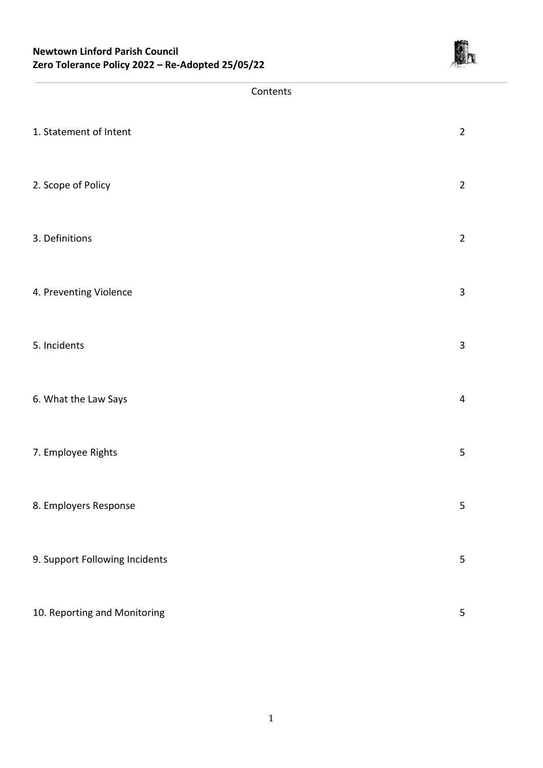

#### Contents

| 1. Statement of Intent         | $\overline{2}$ |
|--------------------------------|----------------|
| 2. Scope of Policy             | $\overline{2}$ |
| 3. Definitions                 | $\overline{2}$ |
| 4. Preventing Violence         | 3              |
| 5. Incidents                   | 3              |
| 6. What the Law Says           | $\overline{4}$ |
| 7. Employee Rights             | 5              |
| 8. Employers Response          | 5              |
| 9. Support Following Incidents | 5              |
| 10. Reporting and Monitoring   | 5              |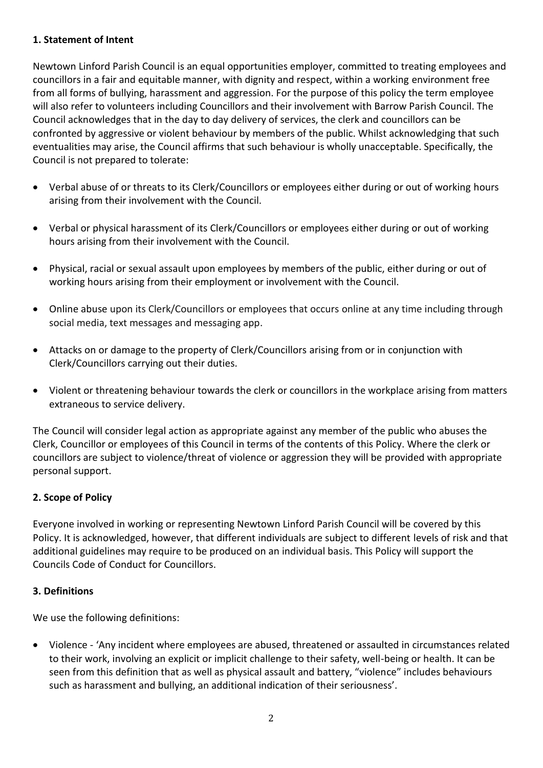## **1. Statement of Intent**

Newtown Linford Parish Council is an equal opportunities employer, committed to treating employees and councillors in a fair and equitable manner, with dignity and respect, within a working environment free from all forms of bullying, harassment and aggression. For the purpose of this policy the term employee will also refer to volunteers including Councillors and their involvement with Barrow Parish Council. The Council acknowledges that in the day to day delivery of services, the clerk and councillors can be confronted by aggressive or violent behaviour by members of the public. Whilst acknowledging that such eventualities may arise, the Council affirms that such behaviour is wholly unacceptable. Specifically, the Council is not prepared to tolerate:

- Verbal abuse of or threats to its Clerk/Councillors or employees either during or out of working hours arising from their involvement with the Council.
- Verbal or physical harassment of its Clerk/Councillors or employees either during or out of working hours arising from their involvement with the Council.
- Physical, racial or sexual assault upon employees by members of the public, either during or out of working hours arising from their employment or involvement with the Council.
- Online abuse upon its Clerk/Councillors or employees that occurs online at any time including through social media, text messages and messaging app.
- Attacks on or damage to the property of Clerk/Councillors arising from or in conjunction with Clerk/Councillors carrying out their duties.
- Violent or threatening behaviour towards the clerk or councillors in the workplace arising from matters extraneous to service delivery.

The Council will consider legal action as appropriate against any member of the public who abuses the Clerk, Councillor or employees of this Council in terms of the contents of this Policy. Where the clerk or councillors are subject to violence/threat of violence or aggression they will be provided with appropriate personal support.

## **2. Scope of Policy**

Everyone involved in working or representing Newtown Linford Parish Council will be covered by this Policy. It is acknowledged, however, that different individuals are subject to different levels of risk and that additional guidelines may require to be produced on an individual basis. This Policy will support the Councils Code of Conduct for Councillors.

## **3. Definitions**

We use the following definitions:

 Violence - 'Any incident where employees are abused, threatened or assaulted in circumstances related to their work, involving an explicit or implicit challenge to their safety, well-being or health. It can be seen from this definition that as well as physical assault and battery, "violence" includes behaviours such as harassment and bullying, an additional indication of their seriousness'.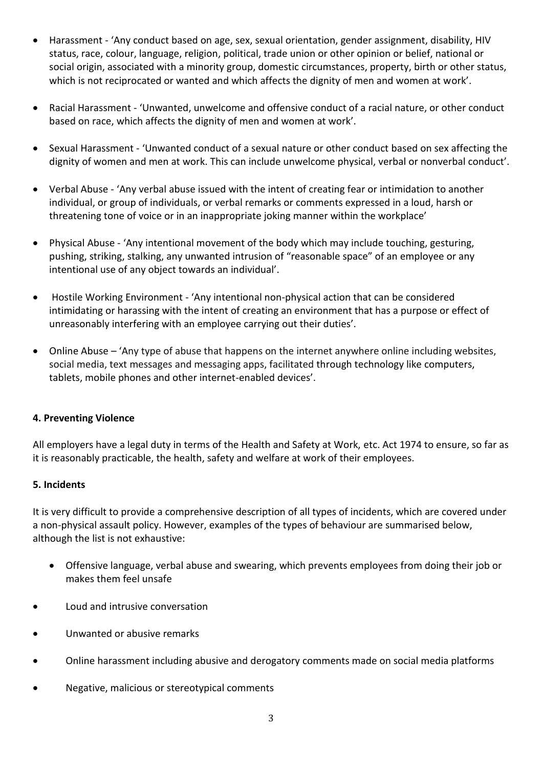- Harassment 'Any conduct based on age, sex, sexual orientation, gender assignment, disability, HIV status, race, colour, language, religion, political, trade union or other opinion or belief, national or social origin, associated with a minority group, domestic circumstances, property, birth or other status, which is not reciprocated or wanted and which affects the dignity of men and women at work'.
- Racial Harassment 'Unwanted, unwelcome and offensive conduct of a racial nature, or other conduct based on race, which affects the dignity of men and women at work'.
- Sexual Harassment 'Unwanted conduct of a sexual nature or other conduct based on sex affecting the dignity of women and men at work. This can include unwelcome physical, verbal or nonverbal conduct'.
- Verbal Abuse 'Any verbal abuse issued with the intent of creating fear or intimidation to another individual, or group of individuals, or verbal remarks or comments expressed in a loud, harsh or threatening tone of voice or in an inappropriate joking manner within the workplace'
- Physical Abuse 'Any intentional movement of the body which may include touching, gesturing, pushing, striking, stalking, any unwanted intrusion of "reasonable space" of an employee or any intentional use of any object towards an individual'.
- Hostile Working Environment 'Any intentional non-physical action that can be considered intimidating or harassing with the intent of creating an environment that has a purpose or effect of unreasonably interfering with an employee carrying out their duties'.
- Online Abuse 'Any type of abuse that happens on the internet anywhere online including websites, social media, text messages and messaging apps, facilitated through technology like computers, tablets, mobile phones and other internet-enabled devices'.

## **4. Preventing Violence**

All employers have a legal duty in terms of the Health and Safety at Work, etc. Act 1974 to ensure, so far as it is reasonably practicable, the health, safety and welfare at work of their employees.

## **5. Incidents**

It is very difficult to provide a comprehensive description of all types of incidents, which are covered under a non-physical assault policy. However, examples of the types of behaviour are summarised below, although the list is not exhaustive:

- Offensive language, verbal abuse and swearing, which prevents employees from doing their job or makes them feel unsafe
- Loud and intrusive conversation
- Unwanted or abusive remarks
- Online harassment including abusive and derogatory comments made on social media platforms
- Negative, malicious or stereotypical comments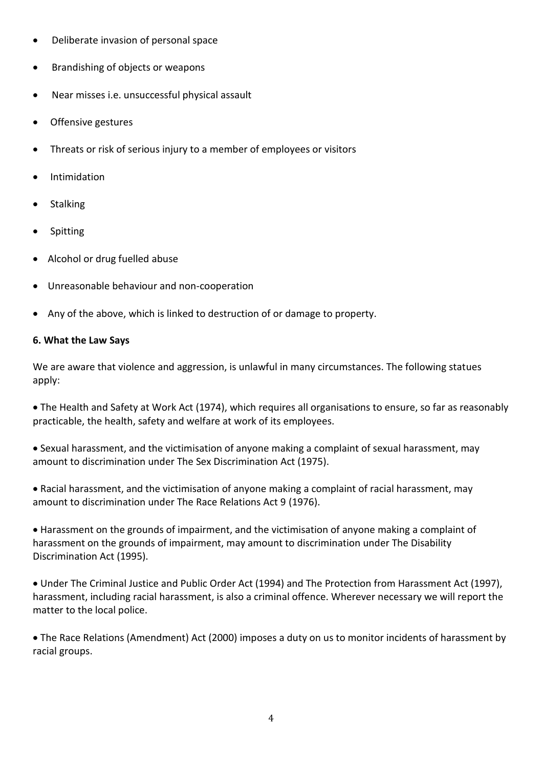- Deliberate invasion of personal space
- Brandishing of objects or weapons
- Near misses i.e. unsuccessful physical assault
- Offensive gestures
- Threats or risk of serious injury to a member of employees or visitors
- Intimidation
- Stalking
- Spitting
- Alcohol or drug fuelled abuse
- Unreasonable behaviour and non-cooperation
- Any of the above, which is linked to destruction of or damage to property.

### **6. What the Law Says**

We are aware that violence and aggression, is unlawful in many circumstances. The following statues apply:

 The Health and Safety at Work Act (1974), which requires all organisations to ensure, so far as reasonably practicable, the health, safety and welfare at work of its employees.

 Sexual harassment, and the victimisation of anyone making a complaint of sexual harassment, may amount to discrimination under The Sex Discrimination Act (1975).

 Racial harassment, and the victimisation of anyone making a complaint of racial harassment, may amount to discrimination under The Race Relations Act 9 (1976).

 Harassment on the grounds of impairment, and the victimisation of anyone making a complaint of harassment on the grounds of impairment, may amount to discrimination under The Disability Discrimination Act (1995).

 Under The Criminal Justice and Public Order Act (1994) and The Protection from Harassment Act (1997), harassment, including racial harassment, is also a criminal offence. Wherever necessary we will report the matter to the local police.

 The Race Relations (Amendment) Act (2000) imposes a duty on us to monitor incidents of harassment by racial groups.